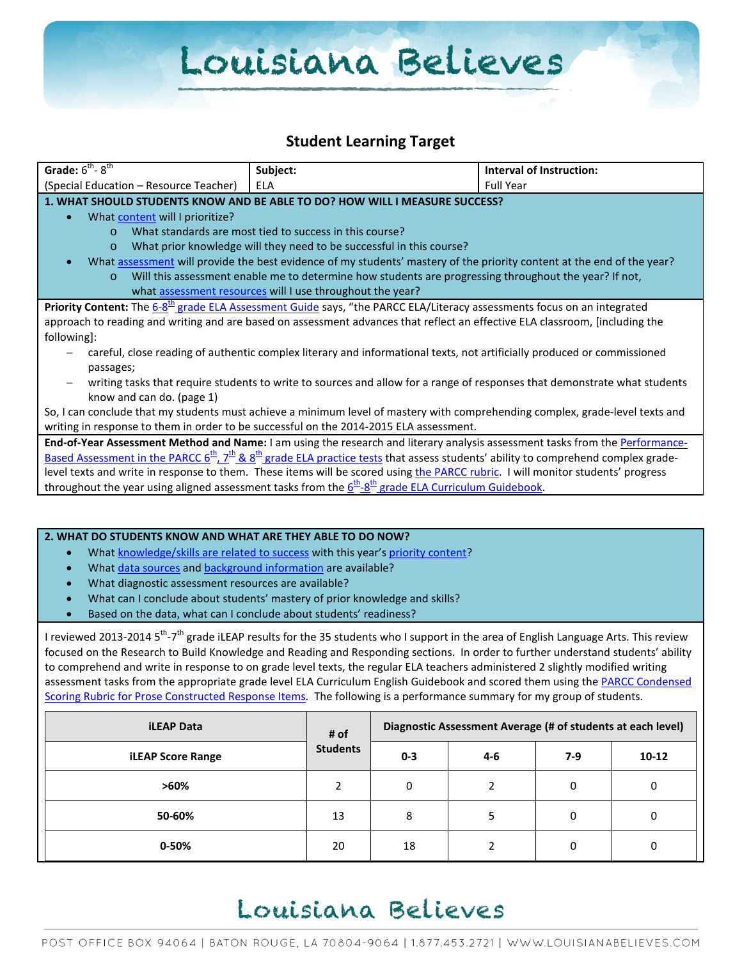# Louisiana Believes

### **Student Learning Target**

| Grade: $6^{th}$ - $8^{th}$                                                                                                                                                                                       | Subject:                                                                                                                     | Interval of Instruction: |  |
|------------------------------------------------------------------------------------------------------------------------------------------------------------------------------------------------------------------|------------------------------------------------------------------------------------------------------------------------------|--------------------------|--|
| (Special Education – Resource Teacher)                                                                                                                                                                           | <b>ELA</b>                                                                                                                   | <b>Full Year</b>         |  |
|                                                                                                                                                                                                                  | 1. WHAT SHOULD STUDENTS KNOW AND BE ABLE TO DO? HOW WILL I MEASURE SUCCESS?                                                  |                          |  |
| What content will I prioritize?                                                                                                                                                                                  |                                                                                                                              |                          |  |
| $\Omega$                                                                                                                                                                                                         | What standards are most tied to success in this course?                                                                      |                          |  |
| $\circ$                                                                                                                                                                                                          | What prior knowledge will they need to be successful in this course?                                                         |                          |  |
|                                                                                                                                                                                                                  | What assessment will provide the best evidence of my students' mastery of the priority content at the end of the year?       |                          |  |
| $\circ$                                                                                                                                                                                                          | Will this assessment enable me to determine how students are progressing throughout the year? If not,                        |                          |  |
| what assessment resources will I use throughout the year?                                                                                                                                                        |                                                                                                                              |                          |  |
| Priority Content: The 6-8 <sup>th</sup> grade ELA Assessment Guide says, "the PARCC ELA/Literacy assessments focus on an integrated                                                                              |                                                                                                                              |                          |  |
| approach to reading and writing and are based on assessment advances that reflect an effective ELA classroom, [including the                                                                                     |                                                                                                                              |                          |  |
| following]:                                                                                                                                                                                                      |                                                                                                                              |                          |  |
| careful, close reading of authentic complex literary and informational texts, not artificially produced or commissioned                                                                                          |                                                                                                                              |                          |  |
| passages;                                                                                                                                                                                                        |                                                                                                                              |                          |  |
|                                                                                                                                                                                                                  | writing tasks that require students to write to sources and allow for a range of responses that demonstrate what students    |                          |  |
| know and can do. (page 1)                                                                                                                                                                                        |                                                                                                                              |                          |  |
| So, I can conclude that my students must achieve a minimum level of mastery with comprehending complex, grade-level texts and                                                                                    |                                                                                                                              |                          |  |
|                                                                                                                                                                                                                  | writing in response to them in order to be successful on the 2014-2015 ELA assessment.                                       |                          |  |
|                                                                                                                                                                                                                  | End-of-Year Assessment Method and Name: I am using the research and literary analysis assessment tasks from the Performance- |                          |  |
| <u>Based Assessment in the PARCC <math>6^{\text{th}}</math>, <math>7^{\text{th}}</math> &amp; <math>8^{\text{th}}</math> grade ELA practice tests that assess students' ability to comprehend complex grade-</u> |                                                                                                                              |                          |  |
| level texts and write in response to them. These items will be scored using the PARCC rubric. I will monitor students' progress                                                                                  |                                                                                                                              |                          |  |
|                                                                                                                                                                                                                  | throughout the year using aligned assessment tasks from the $6^{th}$ - $8^{th}$ grade ELA Curriculum Guidebook.              |                          |  |
|                                                                                                                                                                                                                  |                                                                                                                              |                          |  |
|                                                                                                                                                                                                                  |                                                                                                                              |                          |  |

#### **2. WHAT DO STUDENTS KNOW AND WHAT ARE THEY ABLE TO DO NOW?**

- Wha[t knowledge/skills are related to success](http://www.louisianabelieves.com/academics/2014-2015-curricular-package) with this year's [priority content?](http://www.louisianabelieves.com/resources/classroom-support-toolbox/teacher-support-toolbox/standards)
- Wha[t data sources](http://www.louisianabelieves.com/resources/classroom-support-toolbox/teacher-support-toolbox/student-achievement-results) an[d background information](http://www.louisianabelieves.com/resources/library/data-center) are available?
- What diagnostic assessment resources are available?
- What can I conclude about students' mastery of prior knowledge and skills?
- Based on the data, what can I conclude about students' readiness?

I reviewed 2013-2014 5<sup>th</sup>-7<sup>th</sup> grade iLEAP results for the 35 students who I support in the area of English Language Arts. This review focused on the Research to Build Knowledge and Reading and Responding sections. In order to further understand students' ability to comprehend and write in response to on grade level texts, the regular ELA teachers administered 2 slightly modified writing assessment tasks from the appropriate grade level ELA Curriculum English Guidebook and scored them using the PARCC Condensed [Scoring Rubric for Prose Constructed Response Items.](http://www.parcconline.org/sites/parcc/files/Grade6-11-ELACondensedRubricFORANALYTICANDNARRATIVEWRITING.pdf) The following is a performance summary for my group of students.

| <b>iLEAP Data</b>        | # of<br><b>Students</b> | Diagnostic Assessment Average (# of students at each level) |     |     |           |
|--------------------------|-------------------------|-------------------------------------------------------------|-----|-----|-----------|
| <b>iLEAP Score Range</b> |                         | $0 - 3$                                                     | 4-6 | 7-9 | $10 - 12$ |
| $>60\%$                  |                         | 0                                                           |     | 0   | 0         |
| 50-60%                   | 13                      | 8                                                           |     | 0   |           |
| 0-50%                    | 20                      | 18                                                          |     | 0   |           |

### Louisiana Believes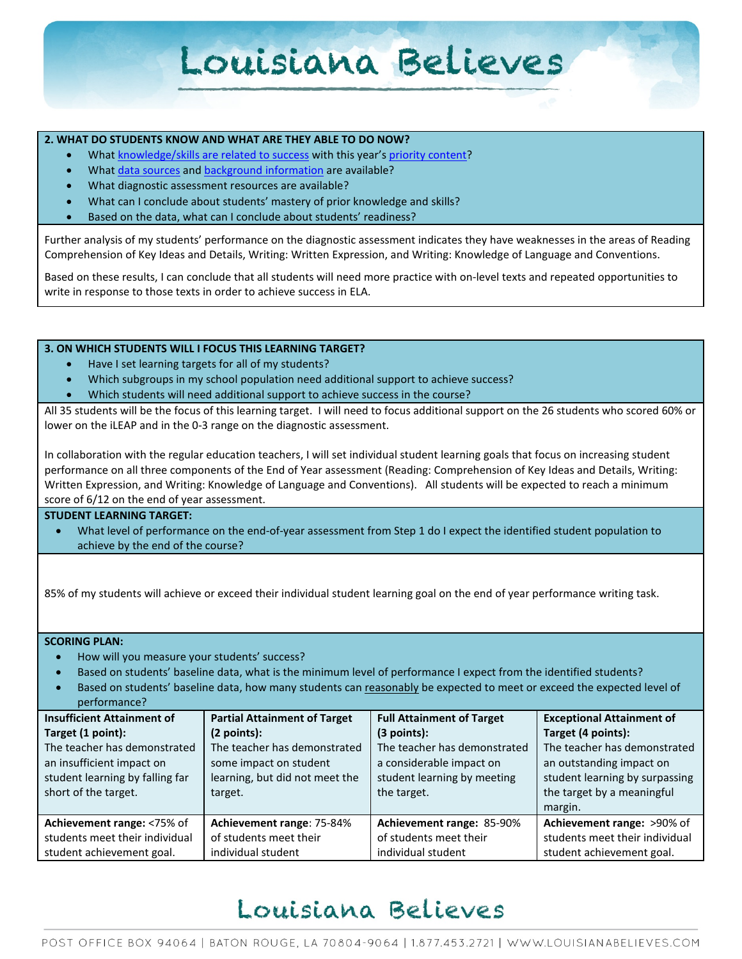## Louisiana Believes

#### **2. WHAT DO STUDENTS KNOW AND WHAT ARE THEY ABLE TO DO NOW?**

- Wha[t knowledge/skills are related to success](http://www.louisianabelieves.com/academics/2014-2015-curricular-package) with this year's [priority content?](http://www.louisianabelieves.com/resources/classroom-support-toolbox/teacher-support-toolbox/standards)
- Wha[t data sources](http://www.louisianabelieves.com/resources/classroom-support-toolbox/teacher-support-toolbox/student-achievement-results) an[d background information](http://www.louisianabelieves.com/resources/library/data-center) are available?
- What diagnostic assessment resources are available?
- What can I conclude about students' mastery of prior knowledge and skills?
- Based on the data, what can I conclude about students' readiness?

Further analysis of my students' performance on the diagnostic assessment indicates they have weaknesses in the areas of Reading Comprehension of Key Ideas and Details, Writing: Written Expression, and Writing: Knowledge of Language and Conventions.

Based on these results, I can conclude that all students will need more practice with on-level texts and repeated opportunities to write in response to those texts in order to achieve success in ELA.

#### **3. ON WHICH STUDENTS WILL I FOCUS THIS LEARNING TARGET?**

- Have I set learning targets for all of my students?
- Which subgroups in my school population need additional support to achieve success?
- Which students will need additional support to achieve success in the course?

All 35 students will be the focus of this learning target. I will need to focus additional support on the 26 students who scored 60% or lower on the iLEAP and in the 0-3 range on the diagnostic assessment.

In collaboration with the regular education teachers, I will set individual student learning goals that focus on increasing student performance on all three components of the End of Year assessment (Reading: Comprehension of Key Ideas and Details, Writing: Written Expression, and Writing: Knowledge of Language and Conventions). All students will be expected to reach a minimum score of 6/12 on the end of year assessment.

#### **STUDENT LEARNING TARGET:**

• What level of performance on the end-of-year assessment from Step 1 do I expect the identified student population to achieve by the end of the course?

85% of my students will achieve or exceed their individual student learning goal on the end of year performance writing task.

**SCORING PLAN:**

- How will you measure your students' success?
- Based on students' baseline data, what is the minimum level of performance I expect from the identified students?
- Based on students' baseline data, how many students can reasonably be expected to meet or exceed the expected level of performance?

| <b>Insufficient Attainment of</b> | <b>Partial Attainment of Target</b> | <b>Full Attainment of Target</b> | <b>Exceptional Attainment of</b> |
|-----------------------------------|-------------------------------------|----------------------------------|----------------------------------|
| Target (1 point):                 | (2 points):                         | $(3$ points):                    | Target (4 points):               |
| The teacher has demonstrated      | The teacher has demonstrated        | The teacher has demonstrated     | The teacher has demonstrated     |
| an insufficient impact on         | some impact on student              | a considerable impact on         | an outstanding impact on         |
| student learning by falling far   | learning, but did not meet the      | student learning by meeting      | student learning by surpassing   |
| short of the target.              | target.                             | the target.                      | the target by a meaningful       |
|                                   |                                     |                                  | margin.                          |
| Achievement range: <75% of        | Achievement range: 75-84%           | Achievement range: 85-90%        | Achievement range: >90% of       |
| students meet their individual    | of students meet their              | of students meet their           | students meet their individual   |
| student achievement goal.         | individual student                  | individual student               | student achievement goal.        |

### Louisiana Believes